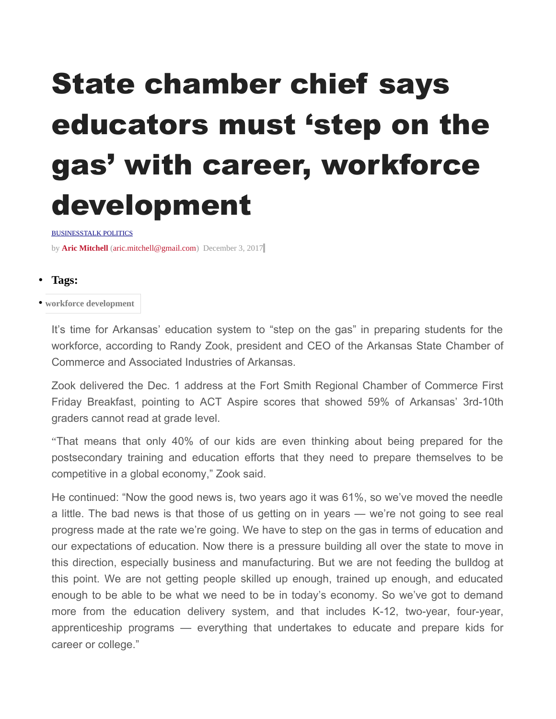## State chamber chief says educators must 'step on the gas' with career, workforce development

**BUSINESSTALK POLITICS** 

by **[Aric Mitchell](https://talkbusiness.net/author/aric-mitchell/)** [\(aric.mitchell@gmail.com\)](mailto:aric.mitchell@gmail.com) December 3, 201[7](https://talkbusiness.net/2017/12/state-chamber-chief-says-educators-must-step-on-the-gas-with-career-workforce-development/#comments)

- **Tags:**
- **[workforce development](https://talkbusiness.net/tag/workforce-development/)**

It's time for Arkansas' education system to "step on the gas" in preparing students for the workforce, according to Randy Zook, president and CEO of the Arkansas State Chamber of Commerce and Associated Industries of Arkansas.

Zook delivered the Dec. 1 address at the Fort Smith Regional Chamber of Commerce First Friday Breakfast, pointing to ACT Aspire scores that showed 59% of Arkansas' 3rd-10th graders cannot read at grade level.

"That means that only 40% of our kids are even thinking about being prepared for the postsecondary training and education efforts that they need to prepare themselves to be competitive in a global economy," Zook said.

He continued: "Now the good news is, two years ago it was 61%, so we've moved the needle a little. The bad news is that those of us getting on in years — we're not going to see real progress made at the rate we're going. We have to step on the gas in terms of education and our expectations of education. Now there is a pressure building all over the state to move in this direction, especially business and manufacturing. But we are not feeding the bulldog at this point. We are not getting people skilled up enough, trained up enough, and educated enough to be able to be what we need to be in today's economy. So we've got to demand more from the education delivery system, and that includes K-12, two-year, four-year, apprenticeship programs — everything that undertakes to educate and prepare kids for career or college."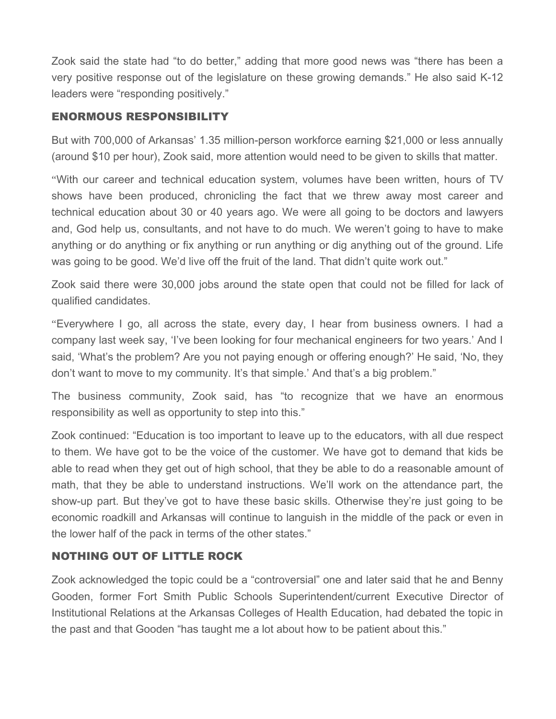Zook said the state had "to do better," adding that more good news was "there has been a very positive response out of the legislature on these growing demands." He also said K-12 leaders were "responding positively."

## ENORMOUS RESPONSIBILITY

But with 700,000 of Arkansas' 1.35 million-person workforce earning \$21,000 or less annually (around \$10 per hour), Zook said, more attention would need to be given to skills that matter.

"With our career and technical education system, volumes have been written, hours of TV shows have been produced, chronicling the fact that we threw away most career and technical education about 30 or 40 years ago. We were all going to be doctors and lawyers and, God help us, consultants, and not have to do much. We weren't going to have to make anything or do anything or fix anything or run anything or dig anything out of the ground. Life was going to be good. We'd live off the fruit of the land. That didn't quite work out."

Zook said there were 30,000 jobs around the state open that could not be filled for lack of qualified candidates.

"Everywhere I go, all across the state, every day, I hear from business owners. I had a company last week say, 'I've been looking for four mechanical engineers for two years.' And I said, 'What's the problem? Are you not paying enough or offering enough?' He said, 'No, they don't want to move to my community. It's that simple.' And that's a big problem."

The business community, Zook said, has "to recognize that we have an enormous responsibility as well as opportunity to step into this."

Zook continued: "Education is too important to leave up to the educators, with all due respect to them. We have got to be the voice of the customer. We have got to demand that kids be able to read when they get out of high school, that they be able to do a reasonable amount of math, that they be able to understand instructions. We'll work on the attendance part, the show-up part. But they've got to have these basic skills. Otherwise they're just going to be economic roadkill and Arkansas will continue to languish in the middle of the pack or even in the lower half of the pack in terms of the other states."

## NOTHING OUT OF LITTLE ROCK

Zook acknowledged the topic could be a "controversial" one and later said that he and Benny Gooden, former Fort Smith Public Schools Superintendent/current Executive Director of Institutional Relations at the Arkansas Colleges of Health Education, had debated the topic in the past and that Gooden "has taught me a lot about how to be patient about this."